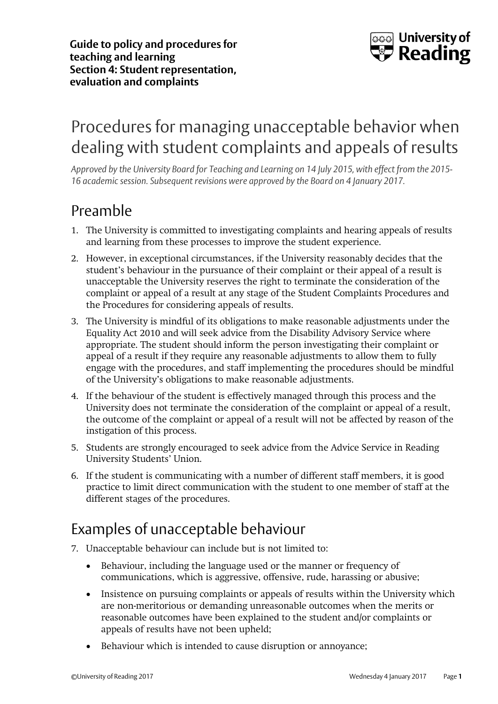

# Procedures for managing unacceptable behavior when dealing with student complaints and appeals of results

*Approved by the University Board for Teaching and Learning on 14 July 2015, with effect from the 2015- 16 academic session. Subsequent revisions were approved by the Board on 4 January 2017.* 

# Preamble

- 1. The University is committed to investigating complaints and hearing appeals of results and learning from these processes to improve the student experience.
- 2. However, in exceptional circumstances, if the University reasonably decides that the student's behaviour in the pursuance of their complaint or their appeal of a result is unacceptable the University reserves the right to terminate the consideration of the complaint or appeal of a result at any stage of the Student Complaints Procedures and the Procedures for considering appeals of results.
- 3. The University is mindful of its obligations to make reasonable adjustments under the Equality Act 2010 and will seek advice from the Disability Advisory Service where appropriate. The student should inform the person investigating their complaint or appeal of a result if they require any reasonable adjustments to allow them to fully engage with the procedures, and staff implementing the procedures should be mindful of the University's obligations to make reasonable adjustments.
- 4. If the behaviour of the student is effectively managed through this process and the University does not terminate the consideration of the complaint or appeal of a result, the outcome of the complaint or appeal of a result will not be affected by reason of the instigation of this process.
- 5. Students are strongly encouraged to seek advice from the Advice Service in Reading University Students' Union.
- 6. If the student is communicating with a number of different staff members, it is good practice to limit direct communication with the student to one member of staff at the different stages of the procedures.

## Examples of unacceptable behaviour

- 7. Unacceptable behaviour can include but is not limited to:
	- Behaviour, including the language used or the manner or frequency of communications, which is aggressive, offensive, rude, harassing or abusive;
	- Insistence on pursuing complaints or appeals of results within the University which are non-meritorious or demanding unreasonable outcomes when the merits or reasonable outcomes have been explained to the student and/or complaints or appeals of results have not been upheld;
	- Behaviour which is intended to cause disruption or annoyance;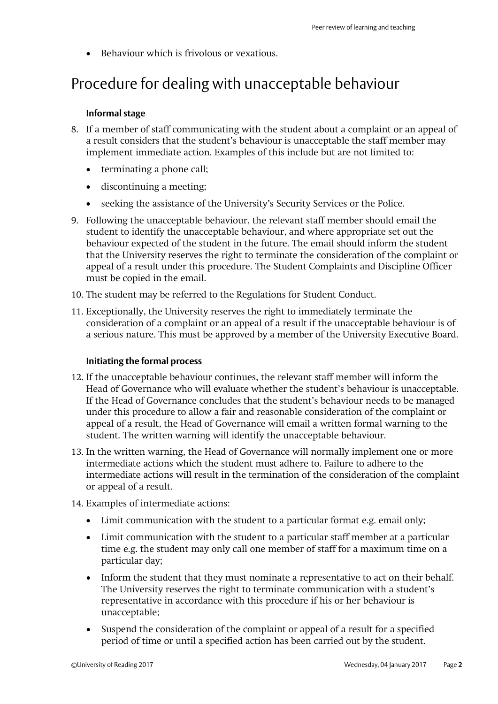• Behaviour which is frivolous or vexatious.

## Procedure for dealing with unacceptable behaviour

#### **Informal stage**

- 8. If a member of staff communicating with the student about a complaint or an appeal of a result considers that the student's behaviour is unacceptable the staff member may implement immediate action. Examples of this include but are not limited to:
	- terminating a phone call;
	- discontinuing a meeting;
	- seeking the assistance of the University's Security Services or the Police.
- 9. Following the unacceptable behaviour, the relevant staff member should email the student to identify the unacceptable behaviour, and where appropriate set out the behaviour expected of the student in the future. The email should inform the student that the University reserves the right to terminate the consideration of the complaint or appeal of a result under this procedure. The Student Complaints and Discipline Officer must be copied in the email.
- 10. The student may be referred to the Regulations for Student Conduct.
- 11. Exceptionally, the University reserves the right to immediately terminate the consideration of a complaint or an appeal of a result if the unacceptable behaviour is of a serious nature. This must be approved by a member of the University Executive Board.

#### **Initiating the formal process**

- 12. If the unacceptable behaviour continues, the relevant staff member will inform the Head of Governance who will evaluate whether the student's behaviour is unacceptable. If the Head of Governance concludes that the student's behaviour needs to be managed under this procedure to allow a fair and reasonable consideration of the complaint or appeal of a result, the Head of Governance will email a written formal warning to the student. The written warning will identify the unacceptable behaviour.
- 13. In the written warning, the Head of Governance will normally implement one or more intermediate actions which the student must adhere to. Failure to adhere to the intermediate actions will result in the termination of the consideration of the complaint or appeal of a result.
- 14. Examples of intermediate actions:
	- Limit communication with the student to a particular format e.g. email only;
	- Limit communication with the student to a particular staff member at a particular time e.g. the student may only call one member of staff for a maximum time on a particular day;
	- Inform the student that they must nominate a representative to act on their behalf. The University reserves the right to terminate communication with a student's representative in accordance with this procedure if his or her behaviour is unacceptable;
	- Suspend the consideration of the complaint or appeal of a result for a specified period of time or until a specified action has been carried out by the student.